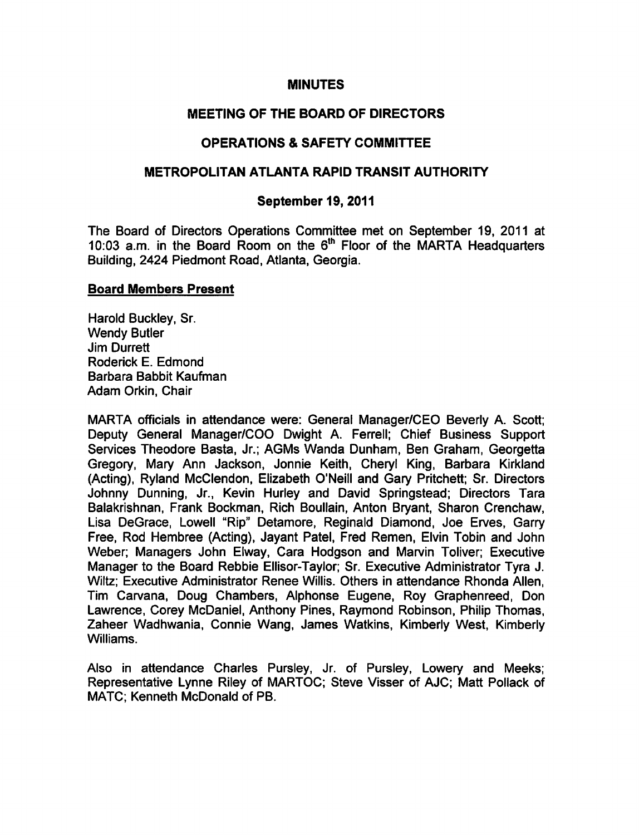#### MINUTES

# MEETING OF THE BOARD OF DIRECTORS

# OPERATIONS & SAFETY COMMITTEE

## METROPOLITAN ATLANTA RAPID TRANSIT AUTHORITY

### September 19, 2011

The Board of Directors Operations Committee met on September 19, 2011 at 10:03 a.m. in the Board Room on the  $6<sup>th</sup>$  Floor of the MARTA Headquarters Building, 2424 Piedmont Road, Atlanta, Georgia.

### Board Members Present

Harold Buckley, Sr. Wendy Butler Jim Durrett Roderick E. Edmond Barbara Babbit Kaufman Adam Orkin, Chair

MARTA officials in attendance were: General Manager/CEO Beverly A. Scott; Deputy General Manager/COO Dwight A. Ferrell; Chief Business Support Services Theodore Basta, Jr.; AGMs Wanda Dunham, Ben Graham, Georgetta Gregory, Mary Ann Jackson, Jonnie Keith, Cheryl King, Barbara Kirkland (Acting), Ryland McClendon, Elizabeth O'Neill and Gary Pritchett; Sr. Directors Johnny Dunning, Jr., Kevin Hurley and David Springstead; Directors Tara Balakrishnan, Frank Bockman, Rich Boullain, Anton Bryant, Sharon Crenchaw, Lisa DeGrace, Lowell "Rip" Detamore, Reginald Diamond, Joe Erves, Garry Free, Rod Hembree (Acting), Jayant Patel, Fred Remen, Elvin Tobin and John Weber; Managers John Elway, Cara Hodgson and Marvin Toliver; Executive Manager to the Board Rebbie Ellisor-Taylor; Sr. Executive Administrator Tyra J. Wiltz; Executive Administrator Renee Willis. Others in attendance Rhonda Allen, Tim Carvana, Doug Chambers, Alphonse Eugene, Roy Graphenreed, Don Lawrence, Corey McDaniel, Anthony Pines, Raymond Robinson, Philip Thomas, Zaheer Wadhwania, Connie Wang, James Watkins, Kimberly West, Kimberly Williams.

Also in attendance Charles Pursley, Jr. of Pursley, Lowery and Meeks; Representative Lynne Riley of MARTOC; Steve Visser of AJC; Matt Pollack of MATC; Kenneth McDonald of PB.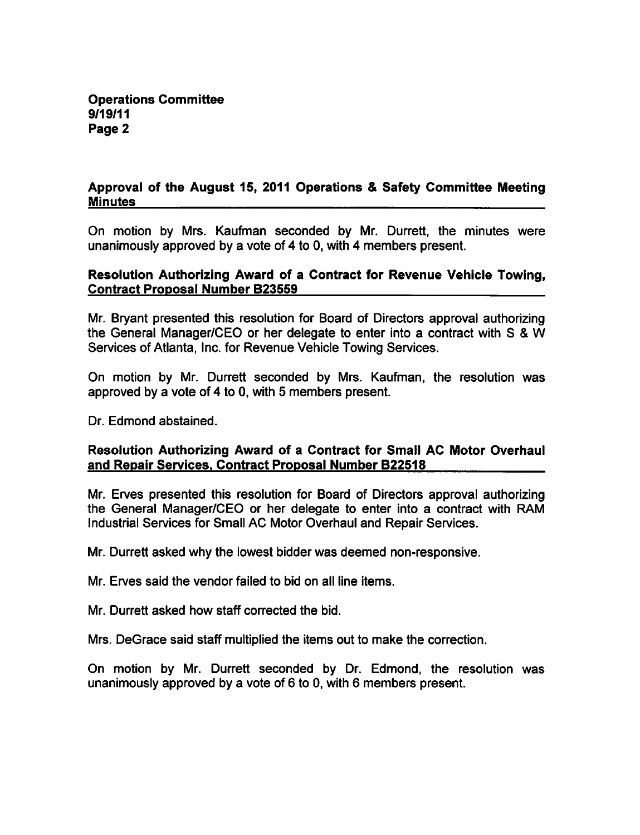### Approval of the August 15, 2011 Operations & Safety Committee Meeting **Minutes**

On motion by Mrs. Kaufman seconded by Mr. Durrett, the minutes were unanimously approved by a vote of 4 to 0, with 4 members present.

### Resolution Authorizing Award of a Contract for Revenue Vehicle Towing, Contract Proposal Number B23559

Mr. Bryant presented this resolution for Board of Directors approval authorizing the General Manager/CEO or her delegate to enter into a contract with S & W Services of Atlanta, Inc. for Revenue Vehicle Towing Services.

On motion by Mr. Durrett seconded by Mrs. Kaufman, the resolution was approved by a vote of 4 to 0, with 5 members present.

Dr. Edmond abstained.

## Resolution Authorizing Award of a Contract for Small AC Motor Overhaul and Repair Services. Contract Proposal Number B22518

Mr. Erves presented this resolution for Board of Directors approval authorizing the General Manager/CEO or her delegate to enter into a contract with RAM Industrial Services for Small AC Motor Overhaul and Repair Services.

Mr. Durrett asked why the lowest bidder was deemed non-responsive.

Mr. Erves said the vendor failed to bid on all line items.

Mr. Durrett asked how staff corrected the bid.

Mrs. DeGrace said staff multiplied the items out to make the correction.

On motion by Mr. Durrett seconded by Dr. Edmond, the resolution was unanimously approved by a vote of  $6$  to 0, with 6 members present.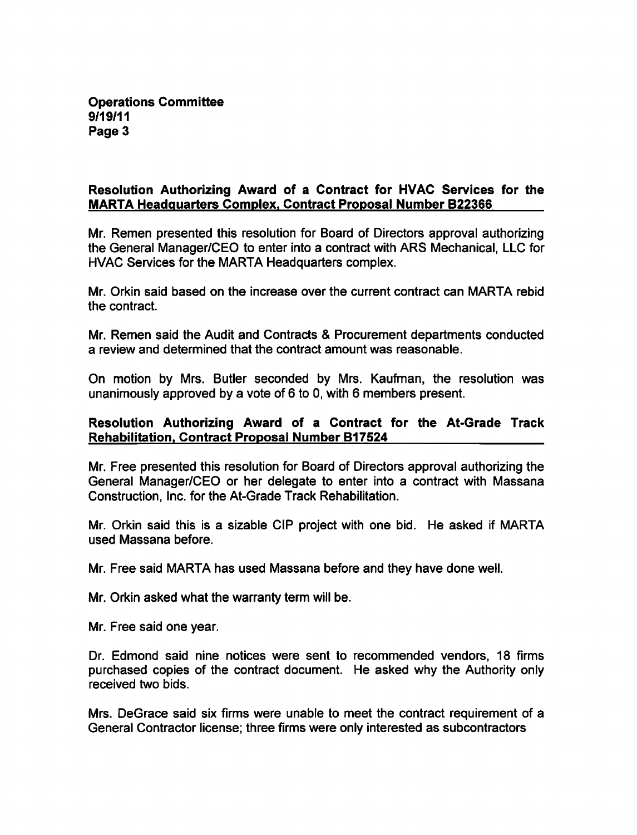Operations Committee 9/19/11 Page 3

## Resolution Authorizing Award of a Contract for HVAC Services for the MARTA Headquarters Complex. Contract Proposal Number B22366

Mr. Remen presented this resolution for Board of Directors approval authorizing the General Manager/CEO to enter into a contract with ARS Mechanical, LLC for HVAC Services for the MARTA Headquarters complex.

Mr. Orkin said based on the increase over the current contract can MARTA rebid the contract.

Mr. Remen said the Audit and Contracts & Procurement departments conducted review and determined that the contract amount was reasonable.

On motion by Mrs. Butler seconded by Mrs. Kaufman, the resolution was unanimously approved by a vote of  $6$  to 0, with 6 members present.

### Resolution Authorizing Award of a Contract for the At-Grade Track Rehabilitation. Contract Proposal Number B17524

Mr. Free presented this resolution for Board of Directors approval authorizing the General Manager/CEO or her delegate to enter into a contract with Massana Construction, Inc. for the At-Grade Track Rehabilitation.

Mr. Orkin said this is a sizable CIP project with one bid. He asked if MARTA used Massana before.

Mr. Free said MARTA has used Massana before and they have done well.

Mr. Orkin asked what the warranty term will be.

Mr. Free said one year.

Dr. Edmond said nine notices were sent to recommended vendors, 18 firms purchased copies of the contract document. He asked why the Authority only received two bids.

Mrs. DeGrace said six firms were unable to meet the contract requirement of a General Contractor license; three firms were only interested as subcontractors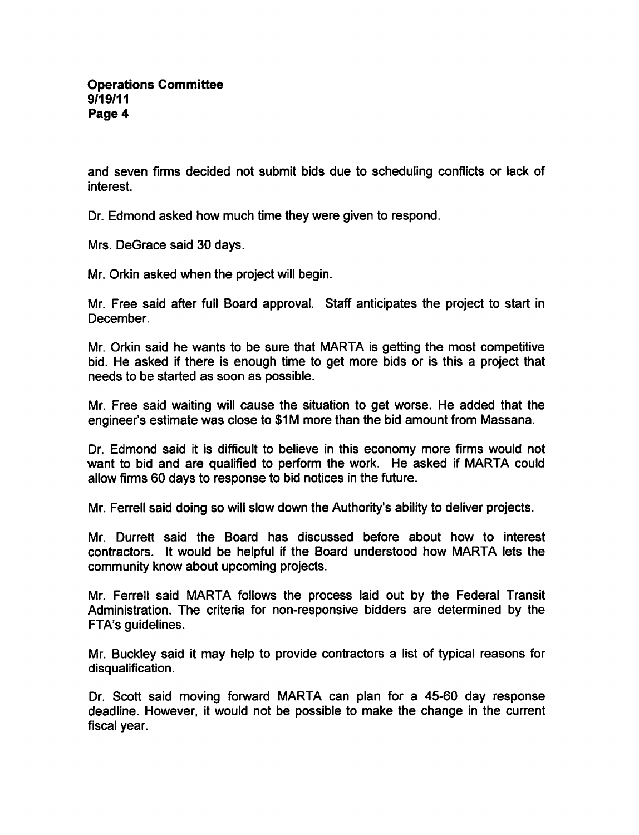and seven firms decided not submit bids due to scheduling conflicts or lack of interest.

Dr. Edmond asked how much time they were given to respond.

Mrs. DeGrace said 30 days.

Mr. Orkin asked when the project will begin.

Mr. Free said after full Board approval. Staff anticipates the project to start in December.

Mr. Orkin said he wants to be sure that MARTA is getting the most competitive bid. He asked if there is enough time to get more bids or is this a project that needs to be started as soon as possible.

Mr. Free said waiting will cause the situation to get worse. He added that the engineer's estimate was close to \$1M more than the bid amount from Massana.

Dr. Edmond said it is difficult to believe in this economy more firms would not want to bid and are qualified to perform the work. He asked if MARTA could allow firms 60 days to response to bid notices in the future.

Mr. Ferrell said doing so will slow down the Authority's ability to deliver projects.

Mr. Durrett said the Board has discussed before about how to interest contractors. It would be helpful if the Board understood how MARTA lets the community know about upcoming projects.

Mr. Ferrell said MARTA follows the process laid out by the Federal Transit Administration. The criteria for non-responsive bidders are determined by the FTA's guidelines.

Mr. Buckley said it may help to provide contractors a list of typical reasons for disqualification.

Dr. Scott said moving forward MARTA can plan for a 45-60 day response deadline. However, it would not be possible to make the change in the current fiscal year.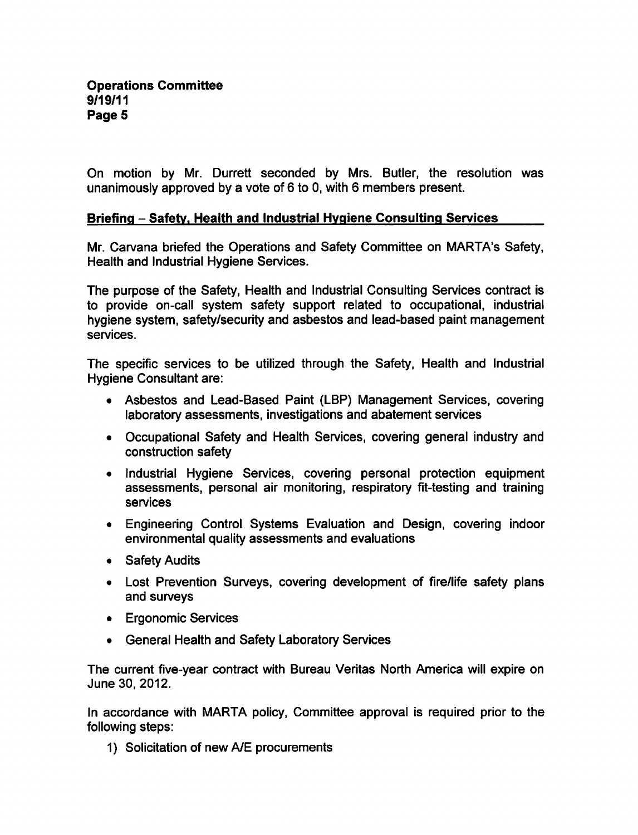On motion by Mr. Durrett seconded by Mrs. Butler, the resolution was unanimously approved by a vote of 6 to 0, with 6 members present.

### Briefing - Safety. Health and Industrial Hygiene Consulting Services

Mr. Carvana briefed the Operations and Safety Committee on MARTA's Safety, Health and Industrial Hygiene Services.

The purpose of the Safety, Health and Industrial Consulting Services contract is to provide on-call system safety support related to occupational, industrial hygiene system, safety/security and asbestos and lead-based paint management services.

The specific services to be utilized through the Safety, Health and Industrial Hygiene Consultant are:

- Asbestos and Lead-Based Paint (LBP) Management Services, covering laboratory assessments, investigations and abatement services
- Occupational Safety and Health Services, covering general industry and construction safety
- Industrial Hygiene Services, covering personal protection equipment assessments, personal air monitoring, respiratory fit-testing and training services
- Engineering Control Systems Evaluation and Design, covering indoor environmental quality assessments and evaluations
- Safety Audits
- Lost Prevention Surveys, covering development of fire/life safety plans and surveys
- Ergonomic Services
- General Health and Safety Laboratory Services

The current five-year contract with Bureau Veritas North America will expire on June 30, 2012.

In accordance with MARTA policy, Committee approval is required prior to the following steps:

1) Solicitation of new A/E procurements